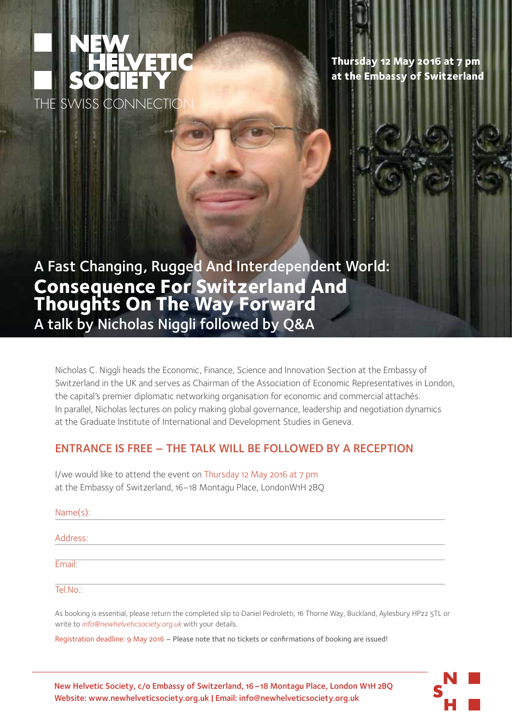

**Thursday 12 May 2016 at 7 pm at the Embassy of Switzerland**

A Fast Changing, Rugged And Interdependent World: **Consequence For Switzerland And Thoughts On The Way Forward** A talk by Nicholas Niggli followed by Q&A

Nicholas C. Niggli heads the Economic, Finance, Science and Innovation Section at the Embassy of Switzerland in the UK and serves as Chairman of the Association of Economic Representatives in London, the capital's premier diplomatic networking organisation for economic and commercial attachés. In parallel, Nicholas lectures on policy making global governance, leadership and negotiation dynamics at the Graduate Institute of International and Development Studies in Geneva.

## ENTRANCE IS FREE – THE TALK WILL BE FOLLOWED BY A RECEPTION

I/we would like to attend the event on Thursday 12 May 2016 at 7 pm at the Embassy of Switzerland, 16–18 Montagu Place, LondonW1H 2BQ

| Name(s): |  |  |  |
|----------|--|--|--|
| Address: |  |  |  |
| Email:   |  |  |  |
| Tel.No.  |  |  |  |
|          |  |  |  |

As booking is essential, please return the completed slip to Daniel Pedroletti, 16 Thorne Way, Buckland, Aylesbury HP22 5TL or write to *info@newhelveticsociety.org.uk* with your details.

Registration deadline: 9 May 2016 – Please note that no tickets or confirmations of booking are issued!